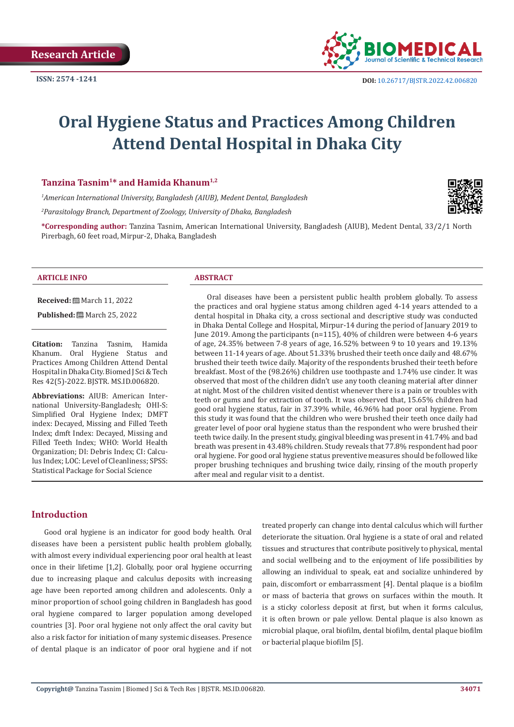

# **Oral Hygiene Status and Practices Among Children Attend Dental Hospital in Dhaka City**

#### **Tanzina Tasnim1\* and Hamida Khanum1,2**

*1 American International University, Bangladesh (AIUB), Medent Dental, Bangladesh*

*2 Parasitology Branch, Department of Zoology, University of Dhaka, Bangladesh*

**\*Corresponding author:** Tanzina Tasnim, American International University, Bangladesh (AIUB), Medent Dental, 33/2/1 North Pirerbagh, 60 feet road, Mirpur-2, Dhaka, Bangladesh



**Received:** March 11, 2022

**Published:** ■ March 25, 2022

**Citation:** Tanzina Tasnim, Hamida Khanum. Oral Hygiene Status and Practices Among Children Attend Dental Hospital in Dhaka City. Biomed J Sci & Tech Res 42(5)-2022. BJSTR. MS.ID.006820.

**Abbreviations:** AIUB: American International University-Bangladesh; OHI-S: Simplified Oral Hygiene Index; DMFT index: Decayed, Missing and Filled Teeth Index; dmft Index: Decayed, Missing and Filled Teeth Index; WHO: World Health Organization; DI: Debris Index; CI: Calculus Index; LOC: Level of Cleanliness; SPSS: Statistical Package for Social Science

Oral diseases have been a persistent public health problem globally. To assess the practices and oral hygiene status among children aged 4-14 years attended to a dental hospital in Dhaka city, a cross sectional and descriptive study was conducted in Dhaka Dental College and Hospital, Mirpur-14 during the period of January 2019 to June 2019. Among the participants (n=115), 40% of children were between 4-6 years of age, 24.35% between 7-8 years of age, 16.52% between 9 to 10 years and 19.13% between 11-14 years of age. About 51.33% brushed their teeth once daily and 48.67% brushed their teeth twice daily. Majority of the respondents brushed their teeth before breakfast. Most of the (98.26%) children use toothpaste and 1.74% use cinder. It was observed that most of the children didn't use any tooth cleaning material after dinner at night. Most of the children visited dentist whenever there is a pain or troubles with teeth or gums and for extraction of tooth. It was observed that, 15.65% children had good oral hygiene status, fair in 37.39% while, 46.96% had poor oral hygiene. From this study it was found that the children who were brushed their teeth once daily had greater level of poor oral hygiene status than the respondent who were brushed their teeth twice daily. In the present study, gingival bleeding was present in 41.74% and bad breath was present in 43.48% children. Study reveals that 77.8% respondent had poor oral hygiene. For good oral hygiene status preventive measures should be followed like proper brushing techniques and brushing twice daily, rinsing of the mouth properly after meal and regular visit to a dentist.

# **Introduction**

Good oral hygiene is an indicator for good body health. Oral diseases have been a persistent public health problem globally, with almost every individual experiencing poor oral health at least once in their lifetime [1,2]. Globally, poor oral hygiene occurring due to increasing plaque and calculus deposits with increasing age have been reported among children and adolescents. Only a minor proportion of school going children in Bangladesh has good oral hygiene compared to larger population among developed countries [3]. Poor oral hygiene not only affect the oral cavity but also a risk factor for initiation of many systemic diseases. Presence of dental plaque is an indicator of poor oral hygiene and if not treated properly can change into dental calculus which will further deteriorate the situation. Oral hygiene is a state of oral and related tissues and structures that contribute positively to physical, mental and social wellbeing and to the enjoyment of life possibilities by allowing an individual to speak, eat and socialize unhindered by pain, discomfort or embarrassment [4]. Dental plaque is a biofilm or mass of bacteria that grows on surfaces within the mouth. It is a sticky colorless deposit at first, but when it forms calculus, it is often brown or pale yellow. Dental plaque is also known as microbial plaque, oral biofilm, dental biofilm, dental plaque biofilm or bacterial plaque biofilm [5].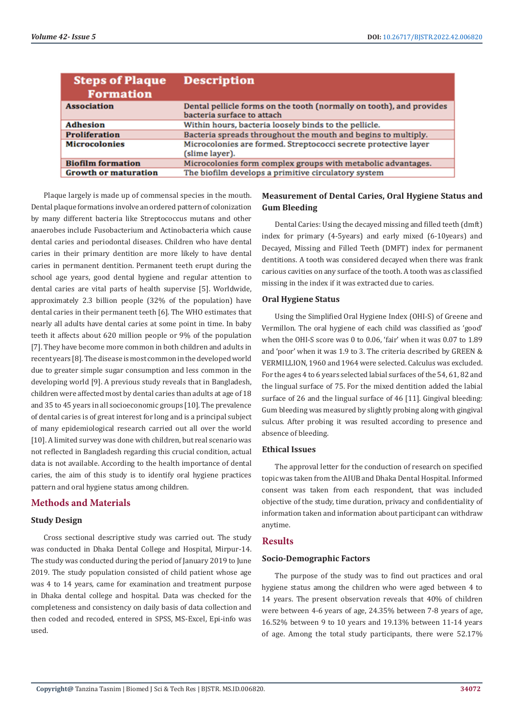| <b>Steps of Plaque</b><br><b>Formation</b> | <b>Description</b>                                                   |
|--------------------------------------------|----------------------------------------------------------------------|
| <b>Association</b>                         | Dental pellicle forms on the tooth (normally on tooth), and provides |
|                                            | bacteria surface to attach                                           |
| <b>Adhesion</b>                            | Within hours, bacteria loosely binds to the pellicle.                |
| <b>Proliferation</b>                       | Bacteria spreads throughout the mouth and begins to multiply.        |
| <b>Microcolonies</b>                       | Microcolonies are formed. Streptococci secrete protective layer      |
|                                            | (slime layer).                                                       |
| <b>Biofilm formation</b>                   | Microcolonies form complex groups with metabolic advantages.         |
| <b>Growth or maturation</b>                | The biofilm develops a primitive circulatory system                  |

Plaque largely is made up of commensal species in the mouth. Dental plaque formations involve an ordered pattern of colonization by many different bacteria like Streptococcus mutans and other anaerobes include Fusobacterium and Actinobacteria which cause dental caries and periodontal diseases. Children who have dental caries in their primary dentition are more likely to have dental caries in permanent dentition. Permanent teeth erupt during the school age years, good dental hygiene and regular attention to dental caries are vital parts of health supervise [5]. Worldwide, approximately 2.3 billion people (32% of the population) have dental caries in their permanent teeth [6]. The WHO estimates that nearly all adults have dental caries at some point in time. In baby teeth it affects about 620 million people or 9% of the population [7]. They have become more common in both children and adults in recent years [8]. The disease is most common in the developed world due to greater simple sugar consumption and less common in the developing world [9]. A previous study reveals that in Bangladesh, children were affected most by dental caries than adults at age of 18 and 35 to 45 years in all socioeconomic groups [10]. The prevalence of dental caries is of great interest for long and is a principal subject of many epidemiological research carried out all over the world [10]. A limited survey was done with children, but real scenario was not reflected in Bangladesh regarding this crucial condition, actual data is not available. According to the health importance of dental caries, the aim of this study is to identify oral hygiene practices pattern and oral hygiene status among children.

# **Methods and Materials**

## **Study Design**

Cross sectional descriptive study was carried out. The study was conducted in Dhaka Dental College and Hospital, Mirpur-14. The study was conducted during the period of January 2019 to June 2019. The study population consisted of child patient whose age was 4 to 14 years, came for examination and treatment purpose in Dhaka dental college and hospital. Data was checked for the completeness and consistency on daily basis of data collection and then coded and recoded, entered in SPSS, MS-Excel, Epi-info was used.

# **Measurement of Dental Caries, Oral Hygiene Status and Gum Bleeding**

Dental Caries: Using the decayed missing and filled teeth (dmft) index for primary (4-5years) and early mixed (6-10years) and Decayed, Missing and Filled Teeth (DMFT) index for permanent dentitions. A tooth was considered decayed when there was frank carious cavities on any surface of the tooth. A tooth was as classified missing in the index if it was extracted due to caries.

## **Oral Hygiene Status**

Using the Simplified Oral Hygiene Index (OHI-S) of Greene and Vermillon. The oral hygiene of each child was classified as 'good' when the OHI-S score was 0 to 0.06, 'fair' when it was 0.07 to 1.89 and 'poor' when it was 1.9 to 3. The criteria described by GREEN & VERMILLION, 1960 and 1964 were selected. Calculus was excluded. For the ages 4 to 6 years selected labial surfaces of the 54, 61, 82 and the lingual surface of 75. For the mixed dentition added the labial surface of 26 and the lingual surface of 46 [11]. Gingival bleeding: Gum bleeding was measured by slightly probing along with gingival sulcus. After probing it was resulted according to presence and absence of bleeding.

## **Ethical Issues**

The approval letter for the conduction of research on specified topic was taken from the AIUB and Dhaka Dental Hospital. Informed consent was taken from each respondent, that was included objective of the study, time duration, privacy and confidentiality of information taken and information about participant can withdraw anytime.

# **Results**

## **Socio-Demographic Factors**

The purpose of the study was to find out practices and oral hygiene status among the children who were aged between 4 to 14 years. The present observation reveals that 40% of children were between 4-6 years of age, 24.35% between 7-8 years of age, 16.52% between 9 to 10 years and 19.13% between 11-14 years of age. Among the total study participants, there were 52.17%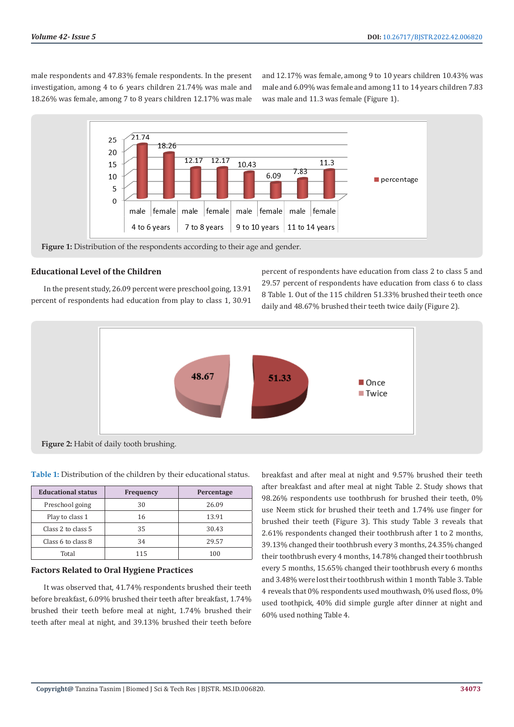male respondents and 47.83% female respondents. In the present investigation, among 4 to 6 years children 21.74% was male and 18.26% was female, among 7 to 8 years children 12.17% was male

and 12.17% was female, among 9 to 10 years children 10.43% was male and 6.09% was female and among 11 to 14 years children 7.83 was male and 11.3 was female (Figure 1).



**Figure 1:** Distribution of the respondents according to their age and gender.

# **Educational Level of the Children**

In the present study, 26.09 percent were preschool going, 13.91 percent of respondents had education from play to class 1, 30.91 percent of respondents have education from class 2 to class 5 and 29.57 percent of respondents have education from class 6 to class 8 Table 1. Out of the 115 children 51.33% brushed their teeth once daily and 48.67% brushed their teeth twice daily (Figure 2).



**Figure 2:** Habit of daily tooth brushing.

| <b>Educational status</b> | <b>Frequency</b> | Percentage |
|---------------------------|------------------|------------|
| Preschool going           | 30               | 26.09      |
| Play to class 1           | 16               | 13.91      |
| Class 2 to class 5        | 35               | 30.43      |
| Class 6 to class 8        | 34               | 29.57      |
| Total                     | 115              | 100        |

# **Table 1:** Distribution of the children by their educational status.

## **Factors Related to Oral Hygiene Practices**

It was observed that, 41.74% respondents brushed their teeth before breakfast, 6.09% brushed their teeth after breakfast, 1.74% brushed their teeth before meal at night, 1.74% brushed their teeth after meal at night, and 39.13% brushed their teeth before

breakfast and after meal at night and 9.57% brushed their teeth after breakfast and after meal at night Table 2. Study shows that 98.26% respondents use toothbrush for brushed their teeth, 0% use Neem stick for brushed their teeth and 1.74% use finger for brushed their teeth (Figure 3). This study Table 3 reveals that 2.61% respondents changed their toothbrush after 1 to 2 months, 39.13% changed their toothbrush every 3 months, 24.35% changed their toothbrush every 4 months, 14.78% changed their toothbrush every 5 months, 15.65% changed their toothbrush every 6 months and 3.48% were lost their toothbrush within 1 month Table 3. Table 4 reveals that 0% respondents used mouthwash, 0% used floss, 0% used toothpick, 40% did simple gurgle after dinner at night and 60% used nothing Table 4.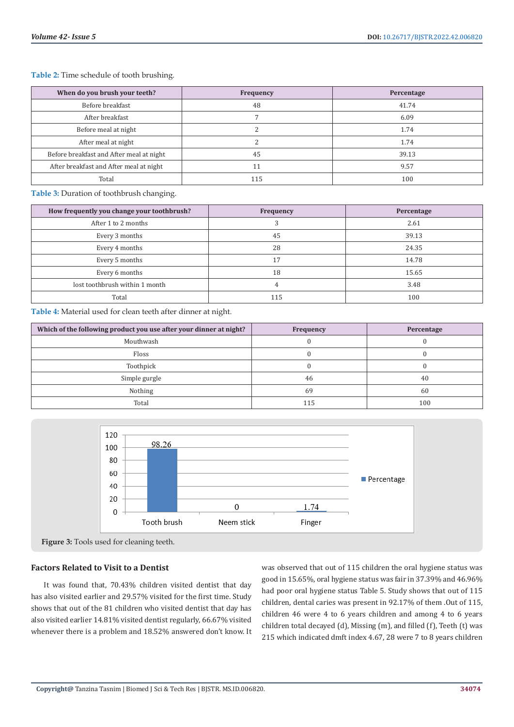**Table 2:** Time schedule of tooth brushing.

| When do you brush your teeth?            | <b>Frequency</b> | Percentage |
|------------------------------------------|------------------|------------|
| Before breakfast                         | 48               | 41.74      |
| After breakfast                          |                  | 6.09       |
| Before meal at night                     |                  | 1.74       |
| After meal at night                      |                  | 1.74       |
| Before breakfast and After meal at night | 45               | 39.13      |
| After breakfast and After meal at night  | 11               | 9.57       |
| Total                                    | 115              | 100        |

**Table 3:** Duration of toothbrush changing.

| How frequently you change your toothbrush? | Frequency | Percentage |
|--------------------------------------------|-----------|------------|
| After 1 to 2 months                        |           | 2.61       |
| Every 3 months                             | 45        | 39.13      |
| Every 4 months                             | 28        | 24.35      |
| Every 5 months                             | 17        | 14.78      |
| Every 6 months                             | 18        | 15.65      |
| lost toothbrush within 1 month             | 4         | 3.48       |
| Total                                      | 115       | 100        |

**Table 4:** Material used for clean teeth after dinner at night.

| Which of the following product you use after your dinner at night? | Frequency | Percentage |
|--------------------------------------------------------------------|-----------|------------|
| Mouthwash                                                          |           |            |
| <b>Floss</b>                                                       |           |            |
| Toothpick                                                          |           |            |
| Simple gurgle                                                      | 46        | 40         |
| Nothing                                                            | 69        | 60         |
| Total                                                              | 115       | 100        |





#### **Factors Related to Visit to a Dentist**

It was found that, 70.43% children visited dentist that day has also visited earlier and 29.57% visited for the first time. Study shows that out of the 81 children who visited dentist that day has also visited earlier 14.81% visited dentist regularly, 66.67% visited whenever there is a problem and 18.52% answered don't know. It

was observed that out of 115 children the oral hygiene status was good in 15.65%, oral hygiene status was fair in 37.39% and 46.96% had poor oral hygiene status Table 5. Study shows that out of 115 children, dental caries was present in 92.17% of them .Out of 115, children 46 were 4 to 6 years children and among 4 to 6 years children total decayed (d), Missing (m), and filled (f), Teeth (t) was 215 which indicated dmft index 4.67, 28 were 7 to 8 years children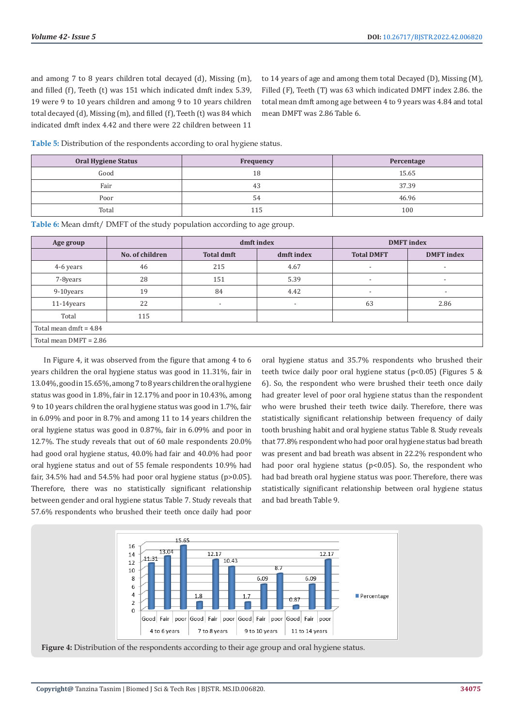and among 7 to 8 years children total decayed (d), Missing (m), and filled (f), Teeth (t) was 151 which indicated dmft index 5.39, 19 were 9 to 10 years children and among 9 to 10 years children total decayed (d), Missing (m), and filled (f), Teeth (t) was 84 which indicated dmft index 4.42 and there were 22 children between 11

to 14 years of age and among them total Decayed (D), Missing (M), Filled (F), Teeth (T) was 63 which indicated DMFT index 2.86. the total mean dmft among age between 4 to 9 years was 4.84 and total mean DMFT was 2.86 Table 6.

**Table 5:** Distribution of the respondents according to oral hygiene status.

| <b>Oral Hygiene Status</b> | <b>Frequency</b> | Percentage |
|----------------------------|------------------|------------|
| Good                       | 18               | 15.65      |
| Fair                       | 43               | 37.39      |
| Poor                       | 54               | 46.96      |
| Total                      | 115              | 100        |

**Table 6:** Mean dmft/ DMFT of the study population according to age group.

| Age group                |                 | dmft index                      |      |                          | <b>DMFT</b> index        |  |  |
|--------------------------|-----------------|---------------------------------|------|--------------------------|--------------------------|--|--|
|                          | No. of children | <b>Total dmft</b><br>dmft index |      | <b>Total DMFT</b>        | <b>DMFT</b> index        |  |  |
| 4-6 years                | 46              | 215                             | 4.67 | $\overline{\phantom{a}}$ | $\overline{\phantom{a}}$ |  |  |
| 7-8years                 | 28              | 151                             | 5.39 | $\overline{\phantom{0}}$ | $\overline{\phantom{a}}$ |  |  |
| 9-10years                | 19              | 84                              | 4.42 | $\overline{\phantom{0}}$ | $\overline{\phantom{a}}$ |  |  |
| $11-14$ years            | 22              |                                 | -    | 63                       | 2.86                     |  |  |
| Total                    | 115             |                                 |      |                          |                          |  |  |
| Total mean dmft = $4.84$ |                 |                                 |      |                          |                          |  |  |
| Total mean DMFT = 2.86   |                 |                                 |      |                          |                          |  |  |

In Figure 4, it was observed from the figure that among 4 to 6 years children the oral hygiene status was good in 11.31%, fair in 13.04%, good in 15.65%, among 7 to 8 years children the oral hygiene status was good in 1.8%, fair in 12.17% and poor in 10.43%, among 9 to 10 years children the oral hygiene status was good in 1.7%, fair in 6.09% and poor in 8.7% and among 11 to 14 years children the oral hygiene status was good in 0.87%, fair in 6.09% and poor in 12.7%. The study reveals that out of 60 male respondents 20.0% had good oral hygiene status, 40.0% had fair and 40.0% had poor oral hygiene status and out of 55 female respondents 10.9% had fair, 34.5% had and 54.5% had poor oral hygiene status (p>0.05). Therefore, there was no statistically significant relationship between gender and oral hygiene status Table 7. Study reveals that 57.6% respondents who brushed their teeth once daily had poor

oral hygiene status and 35.7% respondents who brushed their teeth twice daily poor oral hygiene status (p<0.05) (Figures 5 & 6). So, the respondent who were brushed their teeth once daily had greater level of poor oral hygiene status than the respondent who were brushed their teeth twice daily. Therefore, there was statistically significant relationship between frequency of daily tooth brushing habit and oral hygiene status Table 8. Study reveals that 77.8% respondent who had poor oral hygiene status bad breath was present and bad breath was absent in 22.2% respondent who had poor oral hygiene status (p<0.05). So, the respondent who had bad breath oral hygiene status was poor. Therefore, there was statistically significant relationship between oral hygiene status and bad breath Table 9.



**Figure 4:** Distribution of the respondents according to their age group and oral hygiene status.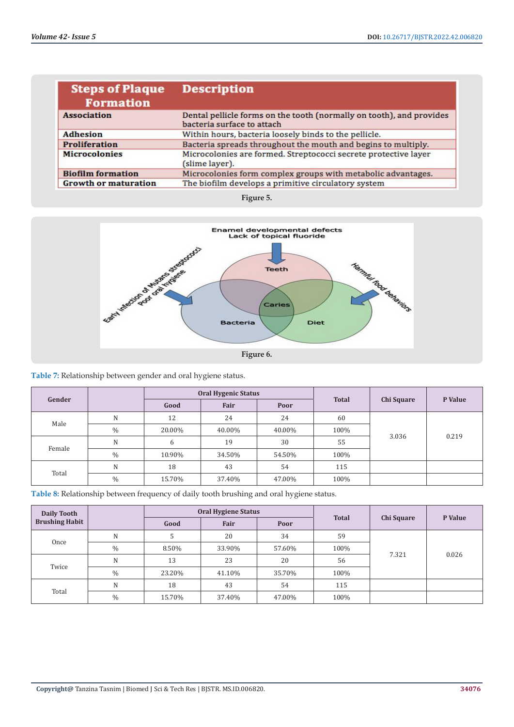| <b>Steps of Plaque</b><br><b>Formation</b> | <b>Description</b>                                                                                 |
|--------------------------------------------|----------------------------------------------------------------------------------------------------|
| <b>Association</b>                         | Dental pellicle forms on the tooth (normally on tooth), and provides<br>bacteria surface to attach |
| <b>Adhesion</b>                            | Within hours, bacteria loosely binds to the pellicle.                                              |
| <b>Proliferation</b>                       | Bacteria spreads throughout the mouth and begins to multiply.                                      |
| <b>Microcolonies</b>                       | Microcolonies are formed. Streptococci secrete protective layer<br>(slime layer).                  |
| <b>Biofilm formation</b>                   | Microcolonies form complex groups with metabolic advantages.                                       |
| <b>Growth or maturation</b>                | The biofilm develops a primitive circulatory system                                                |

**Figure 5.**



**Table 7:** Relationship between gender and oral hygiene status.

| Gender |      | <b>Oral Hygenic Status</b> |        |        | <b>Total</b> |            | P Value |
|--------|------|----------------------------|--------|--------|--------------|------------|---------|
|        |      | Good                       | Fair   | Poor   |              | Chi Square |         |
|        | N    | 12                         | 24     | 24     | 60           |            |         |
| Male   | $\%$ | 20.00%                     | 40.00% | 40.00% | 100%         | 3.036      | 0.219   |
| Female | N    | 6                          | 19     | 30     | 55           |            |         |
|        | $\%$ | 10.90%                     | 34.50% | 54.50% | 100%         |            |         |
|        | N    | 18                         | 43     | 54     | 115          |            |         |
| Total  | $\%$ | 15.70%                     | 37.40% | 47.00% | 100%         |            |         |

**Table 8:** Relationship between frequency of daily tooth brushing and oral hygiene status.

| Daily Tooth<br><b>Brushing Habit</b> |      | <b>Oral Hygiene Status</b> |        |        |              |            |         |
|--------------------------------------|------|----------------------------|--------|--------|--------------|------------|---------|
|                                      |      | Good                       | Fair   | Poor   | <b>Total</b> | Chi Square | P Value |
|                                      | N    |                            | 20     | 34     | 59           |            |         |
| Once                                 | $\%$ | 8.50%                      | 33.90% | 57.60% | 100%         | 7.321      | 0.026   |
| Twice                                | N    | 13                         | 23     | 20     | 56           |            |         |
|                                      | $\%$ | 23.20%                     | 41.10% | 35.70% | 100%         |            |         |
|                                      | N    | 18                         | 43     | 54     | 115          |            |         |
| Total                                | $\%$ | 15.70%                     | 37.40% | 47.00% | 100%         |            |         |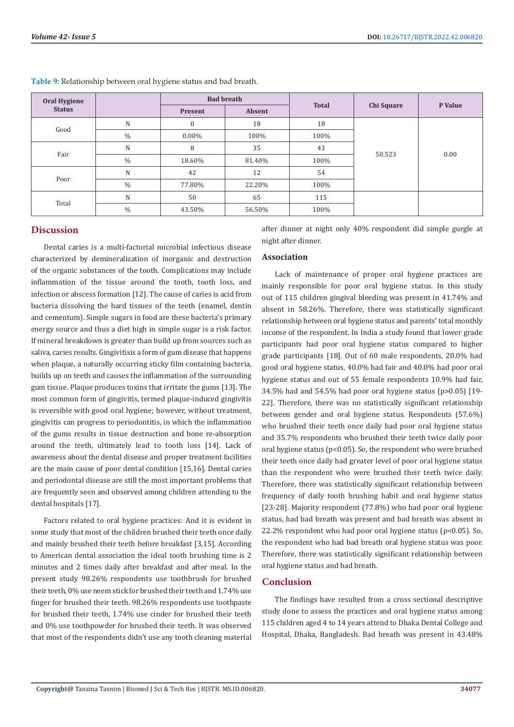| Oral Hygiene<br><b>Status</b> |      | <b>Bad breath</b> |        | <b>Total</b> | Chi Square | P Value |  |
|-------------------------------|------|-------------------|--------|--------------|------------|---------|--|
|                               |      | Present           | Absent |              |            |         |  |
| Good                          | N    | $\mathbf{0}$      | 18     | 18           |            |         |  |
|                               | $\%$ | $0.00\%$          | 100%   | 100%         | 50.523     | 0.00    |  |
| Fair                          | N    | 8                 | 35     | 43           |            |         |  |
|                               | $\%$ | 18.60%            | 81.40% | 100%         |            |         |  |
| Poor                          | N    | 42                | 12     | 54           |            |         |  |
|                               | $\%$ | 77.80%            | 22.20% | 100%         |            |         |  |
|                               | N    | 50                | 65     | 115          |            |         |  |
| Total                         | $\%$ | 43.50%            | 56.50% | 100%         |            |         |  |

**Table 9:** Relationship between oral hygiene status and bad breath.

## **Discussion**

Dental caries is a multi-factorial microbial infectious disease characterized by demineralization of inorganic and destruction of the organic substances of the tooth. Complications may include inflammation of the tissue around the tooth, tooth loss, and infection or abscess formation [12]. The cause of caries is acid from bacteria dissolving the hard tissues of the teeth (enamel, dentin and cementum). Simple sugars in food are these bacteria's primary energy source and thus a diet high in simple sugar is a risk factor. If mineral breakdown is greater than build up from sources such as saliva, caries results. Gingivitisis a form of gum disease that happens when plaque, a naturally occurring sticky film containing bacteria, builds up on teeth and causes the inflammation of the surrounding gum tissue. Plaque produces toxins that irritate the gums [13]. The most common form of gingivitis, termed plaque-induced gingivitis is reversible with good oral hygiene; however, without treatment, gingivitis can progress to periodontitis, in which the inflammation of the gums results in tissue destruction and bone re-absorption around the teeth, ultimately lead to tooth loss [14]. Lack of awareness about the dental disease and proper treatment facilities are the main cause of poor dental condition [15,16]. Dental caries and periodontal disease are still the most important problems that are frequently seen and observed among children attending to the dental hospitals [17].

Factors related to oral hygiene practices: And it is evident in some study that most of the children brushed their teeth once daily and mainly brushed their teeth before breakfast [3,15]. According to American dental association the ideal tooth brushing time is 2 minutes and 2 times daily after breakfast and after meal. In the present study 98.26% respondents use toothbrush for brushed their teeth, 0% use neem stick for brushed their teeth and 1.74% use finger for brushed their teeth. 98.26% respondents use toothpaste for brushed their teeth, 1.74% use cinder for brushed their teeth and 0% use toothpowder for brushed their teeth. It was observed that most of the respondents didn't use any tooth cleaning material

after dinner at night only 40% respondent did simple gurgle at night after dinner.

#### **Association**

Lack of maintenance of proper oral hygiene practices are mainly responsible for poor oral hygiene status. In this study out of 115 children gingival bleeding was present in 41.74% and absent in 58.26%. Therefore, there was statistically significant relationship between oral hygiene status and parents' total monthly income of the respondent. In India a study found that lower grade participants had poor oral hygiene status compared to higher grade participants [18]. Out of 60 male respondents, 20.0% had good oral hygiene status, 40.0% had fair and 40.0% had poor oral hygiene status and out of 55 female respondents 10.9% had fair, 34.5% had and 54.5% had poor oral hygiene status (p>0.05) [19- 22]. Therefore, there was no statistically significant relationship between gender and oral hygiene status. Respondents (57.6%) who brushed their teeth once daily had poor oral hygiene status and 35.7% respondents who brushed their teeth twice daily poor oral hygiene status (p<0.05). So, the respondent who were brushed their teeth once daily had greater level of poor oral hygiene status than the respondent who were brushed their teeth twice daily. Therefore, there was statistically significant relationship between frequency of daily tooth brushing habit and oral hygiene status [23-28]. Majority respondent (77.8%) who had poor oral hygiene status, had bad breath was present and bad breath was absent in 22.2% respondent who had poor oral hygiene status ( $p<0.05$ ). So, the respondent who had bad breath oral hygiene status was poor. Therefore, there was statistically significant relationship between oral hygiene status and bad breath.

## **Conclusion**

The findings have resulted from a cross sectional descriptive study done to assess the practices and oral hygiene status among 115 children aged 4 to 14 years attend to Dhaka Dental College and Hospital, Dhaka, Bangladesh. Bad breath was present in 43.48%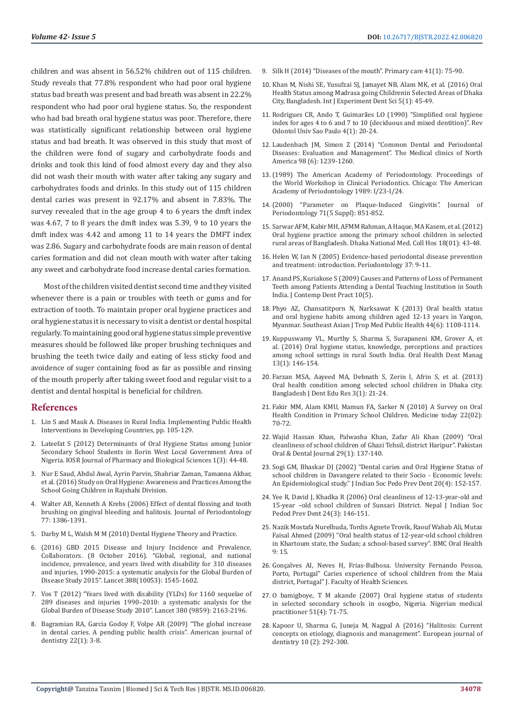children and was absent in 56.52% children out of 115 children. Study reveals that 77.8% respondent who had poor oral hygiene status bad breath was present and bad breath was absent in 22.2% respondent who had poor oral hygiene status. So, the respondent who had bad breath oral hygiene status was poor. Therefore, there was statistically significant relationship between oral hygiene status and bad breath. It was observed in this study that most of the children were fond of sugary and carbohydrate foods and drinks and took this kind of food almost every day and they also did not wash their mouth with water after taking any sugary and carbohydrates foods and drinks. In this study out of 115 children dental caries was present in 92.17% and absent in 7.83%. The survey revealed that in the age group 4 to 6 years the dmft index was 4.67, 7 to 8 years the dmft index was 5.39, 9 to 10 years the dmft index was 4.42 and among 11 to 14 years the DMFT index was 2.86. Sugary and carbohydrate foods are main reason of dental caries formation and did not clean mouth with water after taking any sweet and carbohydrate food increase dental caries formation.

Most of the children visited dentist second time and they visited whenever there is a pain or troubles with teeth or gums and for extraction of tooth. To maintain proper oral hygiene practices and oral hygiene status it is necessary to visit a dentist or dental hospital regularly. To maintaining good oral hygiene status simple preventive measures should be followed like proper brushing techniques and brushing the teeth twice daily and eating of less sticky food and avoidence of suger containing food as far as possible and rinsing of the mouth properly after taking sweet food and regular visit to a dentist and dental hospital is beneficial for children.

#### **References**

- 1. Lin S and Mauk A. Diseases in Rural India. Implementing Public Health Interventions in Developing Countries, pp. 105-129.
- 2. [Lateefat S \(2012\) Determinants of Oral Hygiene Status among Junior](https://www.researchgate.net/publication/272986322_Determinants_Of_Oral_Hygiene_Status_Among_Junior_Secondary_School_Students_In_Ilorin_West_Local_Government_Area_Of_Nigeria)  [Secondary School Students in Ilorin West Local Government Area of](https://www.researchgate.net/publication/272986322_Determinants_Of_Oral_Hygiene_Status_Among_Junior_Secondary_School_Students_In_Ilorin_West_Local_Government_Area_Of_Nigeria)  [Nigeria. IOSR Journal of Pharmacy and Biological Sciences 1\(3\): 44-48.](https://www.researchgate.net/publication/272986322_Determinants_Of_Oral_Hygiene_Status_Among_Junior_Secondary_School_Students_In_Ilorin_West_Local_Government_Area_Of_Nigeria)
- 3. [Nur E Saud, Abdul Awal, Ayrin Parvin, Shahriar Zaman, Tamanna Akbar,](https://www.rroij.com/open-access/study-on-oral-hygiene-awareness-and-practices-among-the-school-going-children-in-rajshahi-division-.php?aid=69594)  [et al. \(2016\) Study on Oral Hygiene: Awareness and Practices Among the](https://www.rroij.com/open-access/study-on-oral-hygiene-awareness-and-practices-among-the-school-going-children-in-rajshahi-division-.php?aid=69594)  [School Going Children in Rajshahi Division.](https://www.rroij.com/open-access/study-on-oral-hygiene-awareness-and-practices-among-the-school-going-children-in-rajshahi-division-.php?aid=69594)
- 4. Walter AB, Kenneth A Krebs (2006) Effect of dental flossing and tooth brushing on gingival bleeding and halitosis. Journal of Periodontology 77: 1386-1391.
- 5. [Darby M L, Walsh M M \(2010\) Dental Hygiene Theory and Practice.](https://www.worldcat.org/title/dental-hygiene-theory-and-practice/oclc/262883066)
- 6. [\(2016\) GBD 2015 Disease and Injury Incidence and Prevalence,](https://pubmed.ncbi.nlm.nih.gov/27733282/)  [Collaborators. \(8 October 2016\). "Global, regional, and national](https://pubmed.ncbi.nlm.nih.gov/27733282/)  [incidence, prevalence, and years lived with disability for 310 diseases](https://pubmed.ncbi.nlm.nih.gov/27733282/)  [and injuries, 1990-2015: a systematic analysis for the Global Burden of](https://pubmed.ncbi.nlm.nih.gov/27733282/)  [Disease Study 2015". Lancet 388\(10053\): 1545-1602.](https://pubmed.ncbi.nlm.nih.gov/27733282/)
- 7. [Vos T \(2012\) "Years lived with disability \(YLDs\) for 1160 sequelae of](https://pubmed.ncbi.nlm.nih.gov/23245607/)  [289 diseases and injuries 1990–2010: a systematic analysis for the](https://pubmed.ncbi.nlm.nih.gov/23245607/)  [Global Burden of Disease Study 2010". Lancet 380 \(9859\): 2163-2196.](https://pubmed.ncbi.nlm.nih.gov/23245607/)
- 8. [Bagramian RA, Garcia Godoy F, Volpe AR \(2009\) "The global increase](https://pubmed.ncbi.nlm.nih.gov/19281105/)  [in dental caries. A pending public health crisis". American journal of](https://pubmed.ncbi.nlm.nih.gov/19281105/)  [dentistry 22\(1\): 3-8.](https://pubmed.ncbi.nlm.nih.gov/19281105/)
- 9. [Silk H \(2014\) "Diseases of the mouth". Primary care 41\(1\): 75-90.](https://pubmed.ncbi.nlm.nih.gov/24439882/)
- 10. [Khan M, Nishi SE, Yusufzai SJ, Jamayet NB, Alam MK, et al. \(2016\) Oral](https://www.ijeds.com/doi/IJEDS/pdf/10.5005/jp-journals-10029-1122) [Health Status among Madrasa going Childrenin Selected Areas of Dhaka](https://www.ijeds.com/doi/IJEDS/pdf/10.5005/jp-journals-10029-1122) [City, Bangladesh. Int J Experiment Dent Sci 5\(1\): 45-49.](https://www.ijeds.com/doi/IJEDS/pdf/10.5005/jp-journals-10029-1122)
- 11. Rodrigues CR, Ando T, Guimarã[es LO \(1990\) "Simplified oral hygiene](https://pubmed.ncbi.nlm.nih.gov/2135326/) [index for ages 4 to 6 and 7 to 10 \(deciduous and mixed dentition\)". Rev](https://pubmed.ncbi.nlm.nih.gov/2135326/) [Odontol Univ Sao Paulo 4\(1\): 20-24.](https://pubmed.ncbi.nlm.nih.gov/2135326/)
- 12. [Laudenbach JM, Simon Z \(2014\) "Common Dental and Periodontal](https://pubmed.ncbi.nlm.nih.gov/25443675/) [Diseases: Evaluation and Management". The Medical clinics of North](https://pubmed.ncbi.nlm.nih.gov/25443675/) [America 98 \(6\): 1239-1260.](https://pubmed.ncbi.nlm.nih.gov/25443675/)
- 13. (1989) The American Academy of Periodontology. Proceedings of the World Workshop in Clinical Periodontics. Chicago: The American Academy of Periodontology 1989: I/23-I/24.
- 14. (2000) "Parameter on Plaque-Induced Gingivitis". Journal of Periodontology 71(5 Suppl): 851-852.
- 15. [Sarwar AFM, Kabir MH, AFMM Rahman, A Haque, MA Kasem, et al. \(2012\)](https://www.banglajol.info/index.php/JDNMCH/article/view/12240) [Oral hygiene practice among the primary school children in selected](https://www.banglajol.info/index.php/JDNMCH/article/view/12240) [rural areas of Bangladesh. Dhaka National Med. Coll Hos 18\(01\): 43-48.](https://www.banglajol.info/index.php/JDNMCH/article/view/12240)
- 16. [Helen W, Ian N \(2005\) Evidence-based periodontal disease prevention](https://pubmed.ncbi.nlm.nih.gov/15655021/) [and treatment: introduction. Periodontology 37: 9-11.](https://pubmed.ncbi.nlm.nih.gov/15655021/)
- 17. [Anand PS, Kuriakose S \(2009\) Causes and Patterns of Loss of Permanent](https://thejcdp.com/doi/JCDP/pdf/10.5005/jcdp-10-5-58) [Teeth among Patients Attending a Dental Teaching Institution in South](https://thejcdp.com/doi/JCDP/pdf/10.5005/jcdp-10-5-58) [India. J Contemp Dent Pract 10\(5\).](https://thejcdp.com/doi/JCDP/pdf/10.5005/jcdp-10-5-58)
- 18. [Phyo AZ, Chansatitporn N, Narksawat K \(2013\) Oral health status](https://pubmed.ncbi.nlm.nih.gov/24450249/) [and oral hygiene habits among children aged 12-13 years in Yangon,](https://pubmed.ncbi.nlm.nih.gov/24450249/) [Myanmar. Southeast Asian J Trop Med Public Health 44\(6\): 1108-1114.](https://pubmed.ncbi.nlm.nih.gov/24450249/)
- 19. [Kuppuswamy VL, Murthy S, Sharma S, Surapaneni KM, Grover A, et](https://pubmed.ncbi.nlm.nih.gov/24603932/) [al. \(2014\) Oral hygiene status, knowledge, perceptions and practices](https://pubmed.ncbi.nlm.nih.gov/24603932/) [among school settings in rural South India. Oral Health Dent Manag](https://pubmed.ncbi.nlm.nih.gov/24603932/) [13\(1\): 146-154.](https://pubmed.ncbi.nlm.nih.gov/24603932/)
- 20. [Farzan MSA, Aayeed MA, Debnath S, Zerin I, Afrin S, et al. \(2013\)](https://www.banglajol.info/index.php/BJDRE/article/view/16591) [Oral health condition among selected school children in Dhaka city.](https://www.banglajol.info/index.php/BJDRE/article/view/16591) [Bangladesh J Dent Edu Res 3\(1\): 21-24.](https://www.banglajol.info/index.php/BJDRE/article/view/16591)
- 21. [Fakir MM, Alam KMU, Mamun FA, Sarker N \(2010\) A Survey on Oral](https://www.researchgate.net/publication/270111496_A_Survey_on_Oral_Health_Condition_in_Primary_School_Children) [Health Condition in Primary School Children. Medicine today 22\(02\):](https://www.researchgate.net/publication/270111496_A_Survey_on_Oral_Health_Condition_in_Primary_School_Children) [70-72.](https://www.researchgate.net/publication/270111496_A_Survey_on_Oral_Health_Condition_in_Primary_School_Children)
- 22. [Wajid Hassan Khan, Palwasha Khan, Zafar Ali Khan \(2009\) "Oral](https://www.researchgate.net/publication/322313759_oral_cleanliness_of_school_children_of_ghazi_tehsil_district_haripur) [cleanliness of school children of Ghazi Tehsil, district Haripur". Pakistan](https://www.researchgate.net/publication/322313759_oral_cleanliness_of_school_children_of_ghazi_tehsil_district_haripur) [Oral & Dental Journal 29\(1\): 137-140.](https://www.researchgate.net/publication/322313759_oral_cleanliness_of_school_children_of_ghazi_tehsil_district_haripur)
- 23. [Sogi GM, Bhaskar DJ \(2002\) "Dental caries and Oral Hygiene Status of](https://pubmed.ncbi.nlm.nih.gov/12587751/) [school children in Davangere related to their Socio - Economic levels:](https://pubmed.ncbi.nlm.nih.gov/12587751/) [An Epidemiological study." J Indian Soc Pedo Prev Dent 20\(4\): 152-157.](https://pubmed.ncbi.nlm.nih.gov/12587751/)
- 24. [Yee R, David J, Khadka R \(2006\) Oral cleanliness of 12-13-year-old and](https://pubmed.ncbi.nlm.nih.gov/17065783/) [15-year –old school children of Sunsari District. Nepal J Indian Soc](https://pubmed.ncbi.nlm.nih.gov/17065783/) [Pedod Prev Dent 24\(3\): 146-151.](https://pubmed.ncbi.nlm.nih.gov/17065783/)
- 25. [Nazik Mostafa Nurelhuda, Tordis Agnete Trovik, Raouf Wahab Ali, Mutaz](https://pubmed.ncbi.nlm.nih.gov/19527502/) [Faisal Ahmed \(2009\) "Oral health status of 12-year-old school children](https://pubmed.ncbi.nlm.nih.gov/19527502/) [in Khartoum state, the Sudan; a school-based survey". BMC Oral Health](https://pubmed.ncbi.nlm.nih.gov/19527502/) [9: 15.](https://pubmed.ncbi.nlm.nih.gov/19527502/)
- 26. Gonçalves AI, Neves H, Frias-Bulhosa. University Fernando Pessoa, Porto, Portugal" Caries experience of school children from the Maia district, Portugal" J. Faculty of Health Sciences.
- 27. [O bamigboye, T M akande \(2007\) Oral hygiene status of students](https://www.researchgate.net/publication/234078966_Oral_Hygiene_Status_of_Students_in_Selected_Secondary_Schools_in_Osogbo_Nigeria) [in selected secondary schools in osogbo, Nigeria. Nigerian medical](https://www.researchgate.net/publication/234078966_Oral_Hygiene_Status_of_Students_in_Selected_Secondary_Schools_in_Osogbo_Nigeria) [practitioner 51\(4\): 71-75.](https://www.researchgate.net/publication/234078966_Oral_Hygiene_Status_of_Students_in_Selected_Secondary_Schools_in_Osogbo_Nigeria)
- 28. [Kapoor U, Sharma G, Juneja M, Nagpal A \(2016\) "Halitosis: Current](https://pubmed.ncbi.nlm.nih.gov/27095913/) [concepts on etiology, diagnosis and management". European journal of](https://pubmed.ncbi.nlm.nih.gov/27095913/) [dentistry 10 \(2\): 292-300.](https://pubmed.ncbi.nlm.nih.gov/27095913/)